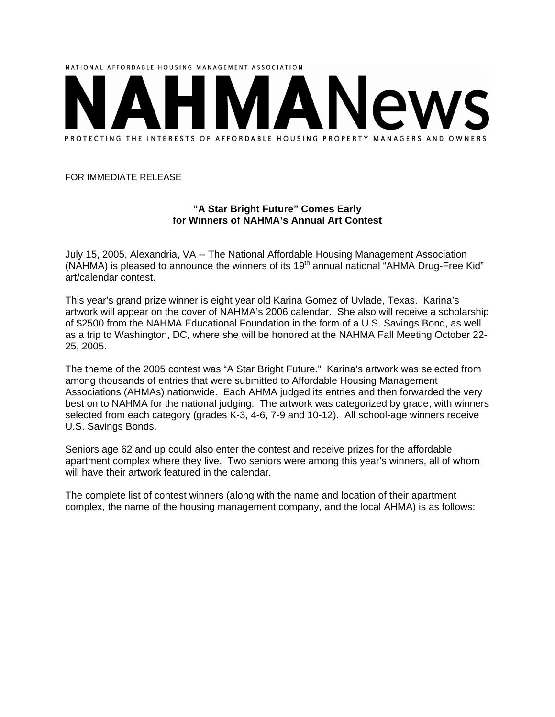

## FOR IMMEDIATE RELEASE

## **"A Star Bright Future" Comes Early for Winners of NAHMA's Annual Art Contest**

July 15, 2005, Alexandria, VA -- The National Affordable Housing Management Association (NAHMA) is pleased to announce the winners of its  $19<sup>th</sup>$  annual national "AHMA Drug-Free Kid" art/calendar contest.

This year's grand prize winner is eight year old Karina Gomez of Uvlade, Texas. Karina's artwork will appear on the cover of NAHMA's 2006 calendar. She also will receive a scholarship of \$2500 from the NAHMA Educational Foundation in the form of a U.S. Savings Bond, as well as a trip to Washington, DC, where she will be honored at the NAHMA Fall Meeting October 22- 25, 2005.

The theme of the 2005 contest was "A Star Bright Future." Karina's artwork was selected from among thousands of entries that were submitted to Affordable Housing Management Associations (AHMAs) nationwide. Each AHMA judged its entries and then forwarded the very best on to NAHMA for the national judging. The artwork was categorized by grade, with winners selected from each category (grades K-3, 4-6, 7-9 and 10-12). All school-age winners receive U.S. Savings Bonds.

Seniors age 62 and up could also enter the contest and receive prizes for the affordable apartment complex where they live. Two seniors were among this year's winners, all of whom will have their artwork featured in the calendar.

The complete list of contest winners (along with the name and location of their apartment complex, the name of the housing management company, and the local AHMA) is as follows: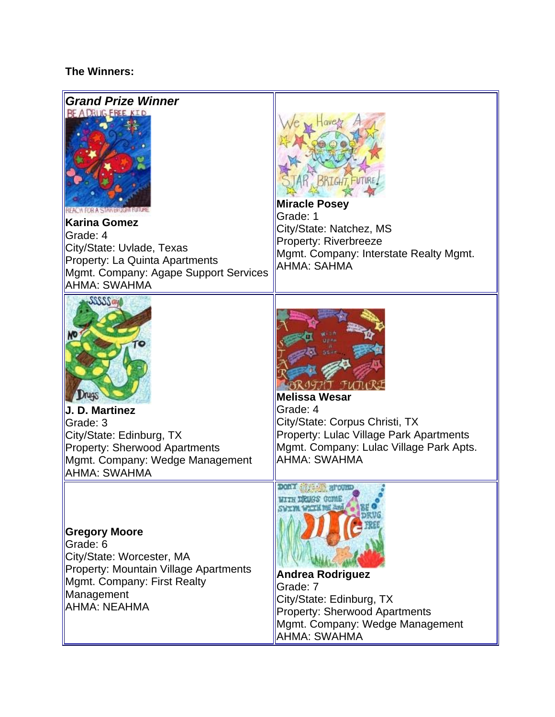## **The Winners:**

| <b>Grand Prize Winner</b><br>BE A DRUG EREE KID                                                                                                                                           | <b>SRIGHT, FUTURE</b>                                                                                                                                                                                                                 |
|-------------------------------------------------------------------------------------------------------------------------------------------------------------------------------------------|---------------------------------------------------------------------------------------------------------------------------------------------------------------------------------------------------------------------------------------|
| REACH FOR A STAR BRIGHT FUTURE<br><b>Karina Gomez</b><br>Grade: 4<br>City/State: Uvlade, Texas<br>Property: La Quinta Apartments<br>Mgmt. Company: Agape Support Services<br>AHMA: SWAHMA | <b>Miracle Posey</b><br>Grade: 1<br>City/State: Natchez, MS<br><b>Property: Riverbreeze</b><br>Mgmt. Company: Interstate Realty Mgmt.<br><b>AHMA: SAHMA</b>                                                                           |
| SSSSSay<br>J. D. Martinez<br>Grade: 3<br>City/State: Edinburg, TX<br>Property: Sherwood Apartments<br>Mgmt. Company: Wedge Management<br>AHMA: SWAHMA                                     | <b>Melissa Wesar</b><br>Grade: 4<br>City/State: Corpus Christi, TX<br>Property: Lulac Village Park Apartments<br>Mgmt. Company: Lulac Village Park Apts.<br>AHMA: SWAHMA                                                              |
| <b>Gregory Moore</b><br>Grade: 6<br>City/State: Worcester, MA<br>Property: Mountain Village Apartments<br>Mgmt. Company: First Realty<br>Management<br><b>AHMA: NEAHMA</b>                | Don't the about a<br><b>WITH DRUGS GOME</b><br><b>TH THE AND</b><br><b>Andrea Rodriguez</b><br>Grade: 7<br>City/State: Edinburg, TX<br><b>Property: Sherwood Apartments</b><br>Mgmt. Company: Wedge Management<br><b>AHMA: SWAHMA</b> |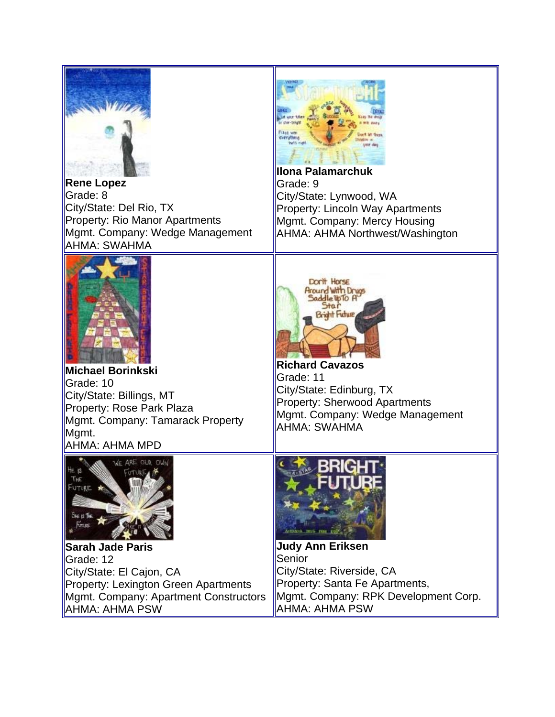

**Rene Lopez** Grade: 8 City/State: Del Rio, TX Property: Rio Manor Apartments Mgmt. Company: Wedge Management AHMA: SWAHMA



**Ilona Palamarchuk** Grade: 9 City/State: Lynwood, WA Property: Lincoln Way Apartments Mgmt. Company: Mercy Housing AHMA: AHMA Northwest/Washington



**Michael Borinkski** Grade: 10 City/State: Billings, MT Property: Rose Park Plaza Mgmt. Company: Tamarack Property Mgmt. AHMA: AHMA MPD



**Richard Cavazos** Grade: 11 City/State: Edinburg, TX Property: Sherwood Apartments Mgmt. Company: Wedge Management AHMA: SWAHMA



**Sarah Jade Paris** Grade: 12 City/State: El Cajon, CA Property: Lexington Green Apartments Mgmt. Company: Apartment Constructors AHMA: AHMA PSW



**Judy Ann Eriksen** Senior City/State: Riverside, CA Property: Santa Fe Apartments, Mgmt. Company: RPK Development Corp. AHMA: AHMA PSW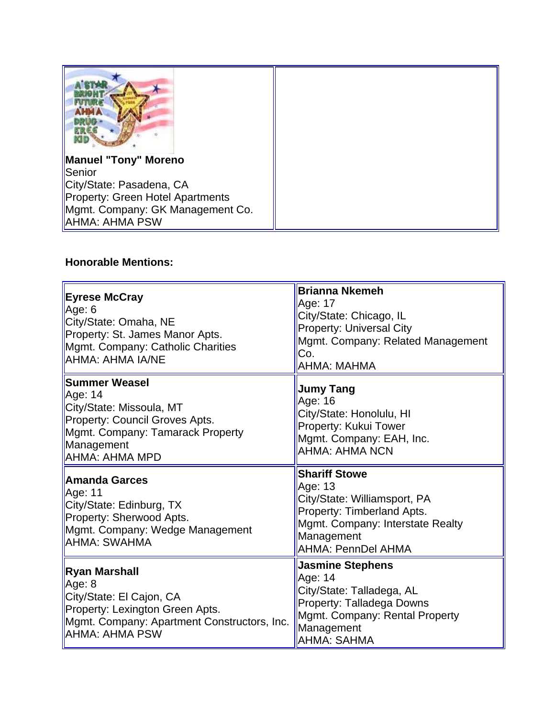| <b>Manuel "Tony" Moreno</b>      |  |
|----------------------------------|--|
| Senior                           |  |
| City/State: Pasadena, CA         |  |
| Property: Green Hotel Apartments |  |
| Mgmt. Company: GK Management Co. |  |
| ∥AHMA: AHMA PSW                  |  |

## **Honorable Mentions:**

| <b>Eyrese McCray</b><br>Age: 6<br>City/State: Omaha, NE<br>Property: St. James Manor Apts.<br>Mgmt. Company: Catholic Charities<br>AHMA: AHMA IA/NE               | <b>Brianna Nkemeh</b><br>Age: 17<br>City/State: Chicago, IL<br><b>Property: Universal City</b><br>Mgmt. Company: Related Management<br>Co.<br>AHMA: MAHMA                    |
|-------------------------------------------------------------------------------------------------------------------------------------------------------------------|------------------------------------------------------------------------------------------------------------------------------------------------------------------------------|
| <b>Summer Weasel</b><br>Age: 14<br>City/State: Missoula, MT<br>Property: Council Groves Apts.<br>Mgmt. Company: Tamarack Property<br>Management<br>AHMA: AHMA MPD | <b>Jumy Tang</b><br>Age: 16<br>City/State: Honolulu, HI<br>Property: Kukui Tower<br>Mgmt. Company: EAH, Inc.<br><b>AHMA: AHMA NCN</b>                                        |
| Amanda Garces<br>Age: 11<br>City/State: Edinburg, TX<br>Property: Sherwood Apts.<br>Mgmt. Company: Wedge Management<br>AHMA: SWAHMA                               | <b>Shariff Stowe</b><br>Age: 13<br>City/State: Williamsport, PA<br>Property: Timberland Apts.<br>Mgmt. Company: Interstate Realty<br>Management<br><b>AHMA: PennDel AHMA</b> |
| Ryan Marshall<br>Age: 8<br>City/State: El Cajon, CA<br>Property: Lexington Green Apts.<br>Mgmt. Company: Apartment Constructors, Inc.<br><b>AHMA: AHMA PSW</b>    | <b>Jasmine Stephens</b><br>Age: 14<br>City/State: Talladega, AL<br>Property: Talladega Downs<br>Mgmt. Company: Rental Property<br>Management<br><b>AHMA: SAHMA</b>           |